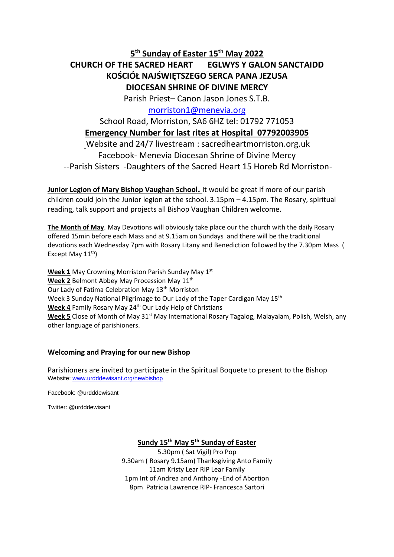# **5 th Sunday of Easter 15th May 2022**

# **CHURCH OF THE SACRED HEART EGLWYS Y GALON SANCTAIDD KOŚCIÓŁ NAJŚWIĘTSZEGO SERCA PANA JEZUSA DIOCESAN SHRINE OF DIVINE MERCY**

Parish Priest– Canon Jason Jones S.T.B.

## [morriston1@menevia.org](mailto:morriston1@menevia.org)

# School Road, Morriston, SA6 6HZ tel: 01792 771053 **Emergency Number for last rites at Hospital 07792003905**

Website and 24/7 livestream : sacredheartmorriston.org.uk Facebook- Menevia Diocesan Shrine of Divine Mercy --Parish Sisters -Daughters of the Sacred Heart 15 Horeb Rd Morriston-

**Junior Legion of Mary Bishop Vaughan School.** It would be great if more of our parish children could join the Junior legion at the school. 3.15pm – 4.15pm. The Rosary, spiritual reading, talk support and projects all Bishop Vaughan Children welcome.

**The Month of May**. May Devotions will obviously take place our the church with the daily Rosary offered 15min before each Mass and at 9.15am on Sundays and there will be the traditional devotions each Wednesday 7pm with Rosary Litany and Benediction followed by the 7.30pm Mass ( Except May  $11^{th}$ )

**Week 1** May Crowning Morriston Parish Sunday May 1st Week 2 Belmont Abbey May Procession May 11<sup>th</sup> Our Lady of Fatima Celebration May 13<sup>th</sup> Morriston Week 3 Sunday National Pilgrimage to Our Lady of the Taper Cardigan May 15<sup>th</sup> Week 4 Family Rosary May 24<sup>th</sup> Our Lady Help of Christians Week 5 Close of Month of May 31<sup>st</sup> May International Rosary Tagalog, Malayalam, Polish, Welsh, any other language of parishioners.

## **Welcoming and Praying for our new Bishop**

Parishioners are invited to participate in the Spiritual Boquete to present to the Bishop Website[: www.urdddewisant.org/newbishop](http://www.urdddewisant.org/newbishop)

Facebook: @urdddewisant

Twitter: @urdddewisant

## **Sundy 15th May 5th Sunday of Easter**

5.30pm ( Sat Vigil) Pro Pop 9.30am ( Rosary 9.15am) Thanksgiving Anto Family 11am Kristy Lear RIP Lear Family 1pm Int of Andrea and Anthony -End of Abortion 8pm Patricia Lawrence RIP- Francesca Sartori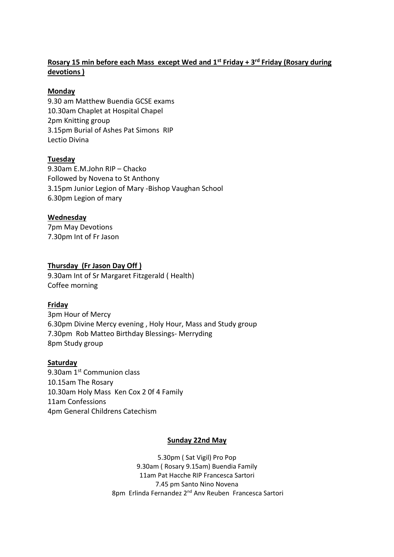## **Rosary 15 min before each Mass except Wed and 1st Friday + 3rd Friday (Rosary during devotions )**

## **Monday**

9.30 am Matthew Buendia GCSE exams 10.30am Chaplet at Hospital Chapel 2pm Knitting group 3.15pm Burial of Ashes Pat Simons RIP Lectio Divina

## **Tuesday**

9.30am E.M.John RIP – Chacko Followed by Novena to St Anthony 3.15pm Junior Legion of Mary -Bishop Vaughan School 6.30pm Legion of mary

## **Wednesday**

7pm May Devotions 7.30pm Int of Fr Jason

## **Thursday (Fr Jason Day Off )**

9.30am Int of Sr Margaret Fitzgerald ( Health) Coffee morning

## **Friday**

3pm Hour of Mercy 6.30pm Divine Mercy evening , Holy Hour, Mass and Study group 7.30pm Rob Matteo Birthday Blessings- Merryding 8pm Study group

### **Saturday**

9.30am 1<sup>st</sup> Communion class 10.15am The Rosary 10.30am Holy Mass Ken Cox 2 0f 4 Family 11am Confessions 4pm General Childrens Catechism

### **Sunday 22nd May**

5.30pm ( Sat Vigil) Pro Pop 9.30am ( Rosary 9.15am) Buendia Family 11am Pat Hacche RIP Francesca Sartori 7.45 pm Santo Nino Novena 8pm Erlinda Fernandez 2<sup>nd</sup> Anv Reuben Francesca Sartori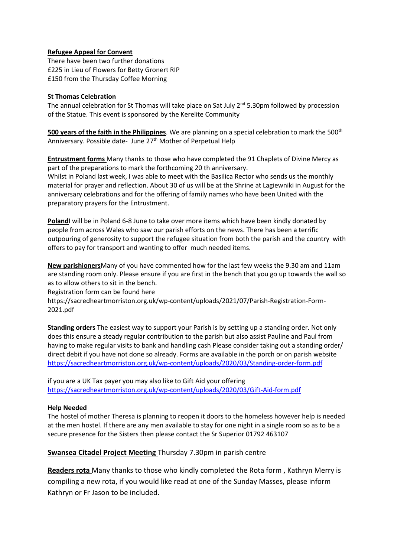#### **Refugee Appeal for Convent**

There have been two further donations £225 in Lieu of Flowers for Betty Gronert RIP £150 from the Thursday Coffee Morning

#### **St Thomas Celebration**

The annual celebration for St Thomas will take place on Sat July  $2<sup>nd</sup>$  5.30pm followed by procession of the Statue. This event is sponsored by the Kerelite Community

500 years of the faith in the Philippines. We are planning on a special celebration to mark the 500<sup>th</sup> Anniversary. Possible date- June 27<sup>th</sup> Mother of Perpetual Help

**Entrustment forms** Many thanks to those who have completed the 91 Chaplets of Divine Mercy as part of the preparations to mark the forthcoming 20 th anniversary.

Whilst in Poland last week, I was able to meet with the Basilica Rector who sends us the monthly material for prayer and reflection. About 30 of us will be at the Shrine at Lagiewniki in August for the anniversary celebrations and for the offering of family names who have been United with the preparatory prayers for the Entrustment.

**Poland**I will be in Poland 6-8 June to take over more items which have been kindly donated by people from across Wales who saw our parish efforts on the news. There has been a terrific outpouring of generosity to support the refugee situation from both the parish and the country with offers to pay for transport and wanting to offer much needed items.

**New parishioners**Many of you have commented how for the last few weeks the 9.30 am and 11am are standing room only. Please ensure if you are first in the bench that you go up towards the wall so as to allow others to sit in the bench.

Registration form can be found here

https://sacredheartmorriston.org.uk/wp-content/uploads/2021/07/Parish-Registration-Form-2021.pdf

**Standing orders** The easiest way to support your Parish is by setting up a standing order. Not only does this ensure a steady regular contribution to the parish but also assist Pauline and Paul from having to make regular visits to bank and handling cash Please consider taking out a standing order/ direct debit if you have not done so already. Forms are available in the porch or on parish website <https://sacredheartmorriston.org.uk/wp-content/uploads/2020/03/Standing-order-form.pdf>

if you are a UK Tax payer you may also like to Gift Aid your offering <https://sacredheartmorriston.org.uk/wp-content/uploads/2020/03/Gift-Aid-form.pdf>

### **Help Needed**

The hostel of mother Theresa is planning to reopen it doors to the homeless however help is needed at the men hostel. If there are any men available to stay for one night in a single room so as to be a secure presence for the Sisters then please contact the Sr Superior 01792 463107

### **Swansea Citadel Project Meeting** Thursday 7.30pm in parish centre

**Readers rota** Many thanks to those who kindly completed the Rota form , Kathryn Merry is compiling a new rota, if you would like read at one of the Sunday Masses, please inform Kathryn or Fr Jason to be included.